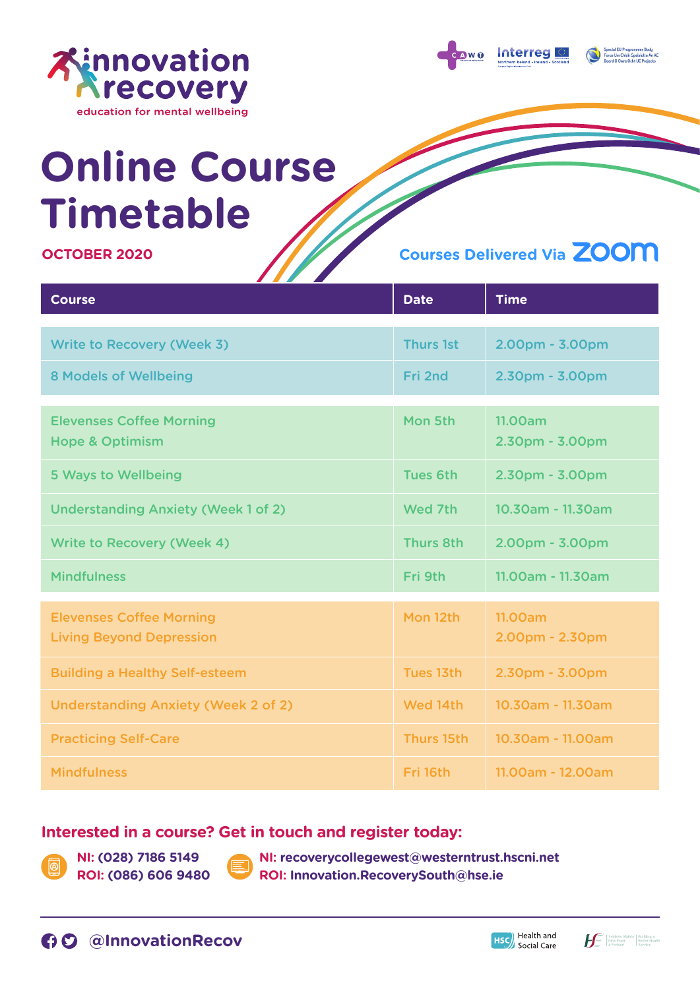

Interrea

# **Online Course Timetable**

### **OCTOBER 2020**

# **Courses Delivered Via**

| <b>Course</b>                                                      | <b>Date</b>      | <b>Time</b>                       |
|--------------------------------------------------------------------|------------------|-----------------------------------|
|                                                                    |                  |                                   |
| <b>Write to Recovery (Week 3)</b>                                  | <b>Thurs 1st</b> | 2.00pm - 3.00pm                   |
| <b>8 Models of Wellbeing</b>                                       | Fri 2nd          | 2.30pm - 3.00pm                   |
|                                                                    |                  |                                   |
| <b>Elevenses Coffee Morning</b><br><b>Hope &amp; Optimism</b>      | Mon 5th          | <b>11.00am</b><br>2.30pm - 3.00pm |
| <b>5 Ways to Wellbeing</b>                                         | <b>Tues 6th</b>  | 2.30pm - 3.00pm                   |
| <b>Understanding Anxiety (Week 1 of 2)</b>                         | Wed 7th          | 10.30am - 11.30am                 |
| <b>Write to Recovery (Week 4)</b>                                  | <b>Thurs 8th</b> | 2.00pm - 3.00pm                   |
| <b>Mindfulness</b>                                                 | Fri 9th          | 11.00am - 11.30am                 |
|                                                                    |                  |                                   |
| <b>Elevenses Coffee Morning</b><br><b>Living Beyond Depression</b> | Mon 12th         | 11.00am<br>2.00pm - 2.30pm        |
|                                                                    |                  |                                   |
| <b>Building a Healthy Self-esteem</b>                              | Tues 13th        | 2.30pm - 3.00pm                   |
| <b>Understanding Anxiety (Week 2 of 2)</b>                         | Wed 14th         | 10.30am - 11.30am                 |
| <b>Practicing Self-Care</b>                                        | Thurs 15th       | 10.30am - 11.00am                 |
| <b>Mindfulness</b>                                                 | Fri 16th         | 11.00am - 12.00am                 |

## **Interested in a course? Get in touch and register today:**

**NI: (028) 7186 5149 ROI: (086) 606 9480**  **NI: recoverycollegewest@westerntrust.hscni.net ROI: Innovation.RecoverySouth@hse.ie**